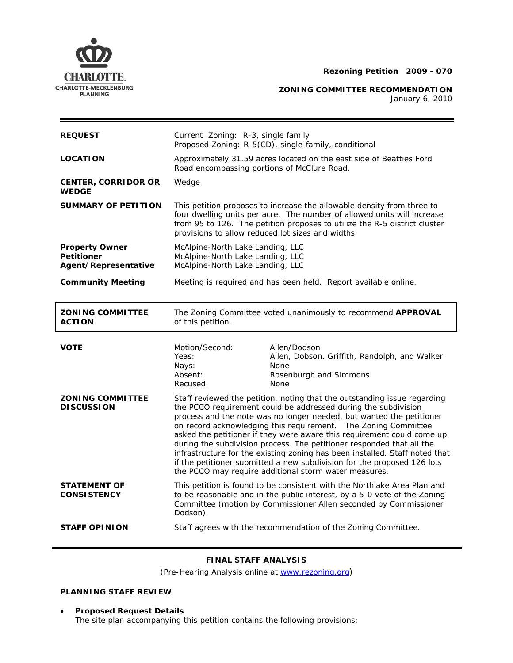

**ZONING COMMITTEE RECOMMENDATION** 

January 6, 2010

| <b>REQUEST</b>                                                     | Current Zoning: R-3, single family<br>Proposed Zoning: R-5(CD), single-family, conditional                                                                                                                                                                                          |                                                                                                                                                                                                                                                                                                                                                                                                                                                                                                                                                                                                                                                             |
|--------------------------------------------------------------------|-------------------------------------------------------------------------------------------------------------------------------------------------------------------------------------------------------------------------------------------------------------------------------------|-------------------------------------------------------------------------------------------------------------------------------------------------------------------------------------------------------------------------------------------------------------------------------------------------------------------------------------------------------------------------------------------------------------------------------------------------------------------------------------------------------------------------------------------------------------------------------------------------------------------------------------------------------------|
| <b>LOCATION</b>                                                    | Approximately 31.59 acres located on the east side of Beatties Ford<br>Road encompassing portions of McClure Road.                                                                                                                                                                  |                                                                                                                                                                                                                                                                                                                                                                                                                                                                                                                                                                                                                                                             |
| <b>CENTER, CORRIDOR OR</b><br><b>WEDGE</b>                         | Wedge                                                                                                                                                                                                                                                                               |                                                                                                                                                                                                                                                                                                                                                                                                                                                                                                                                                                                                                                                             |
| <b>SUMMARY OF PETITION</b>                                         | This petition proposes to increase the allowable density from three to<br>four dwelling units per acre. The number of allowed units will increase<br>from 95 to 126. The petition proposes to utilize the R-5 district cluster<br>provisions to allow reduced lot sizes and widths. |                                                                                                                                                                                                                                                                                                                                                                                                                                                                                                                                                                                                                                                             |
| <b>Property Owner</b><br><b>Petitioner</b><br>Agent/Representative | McAlpine-North Lake Landing, LLC<br>McAlpine-North Lake Landing, LLC<br>McAlpine-North Lake Landing, LLC                                                                                                                                                                            |                                                                                                                                                                                                                                                                                                                                                                                                                                                                                                                                                                                                                                                             |
| <b>Community Meeting</b>                                           | Meeting is required and has been held. Report available online.                                                                                                                                                                                                                     |                                                                                                                                                                                                                                                                                                                                                                                                                                                                                                                                                                                                                                                             |
| <b>ZONING COMMITTEE</b><br><b>ACTION</b>                           | The Zoning Committee voted unanimously to recommend APPROVAL<br>of this petition.                                                                                                                                                                                                   |                                                                                                                                                                                                                                                                                                                                                                                                                                                                                                                                                                                                                                                             |
|                                                                    |                                                                                                                                                                                                                                                                                     |                                                                                                                                                                                                                                                                                                                                                                                                                                                                                                                                                                                                                                                             |
| <b>VOTE</b>                                                        | Motion/Second:<br>Yeas:<br>Nays:<br>Absent:<br>Recused:                                                                                                                                                                                                                             | Allen/Dodson<br>Allen, Dobson, Griffith, Randolph, and Walker<br>None<br>Rosenburgh and Simmons<br>None                                                                                                                                                                                                                                                                                                                                                                                                                                                                                                                                                     |
| <b>ZONING COMMITTEE</b><br><b>DISCUSSION</b>                       |                                                                                                                                                                                                                                                                                     | Staff reviewed the petition, noting that the outstanding issue regarding<br>the PCCO requirement could be addressed during the subdivision<br>process and the note was no longer needed, but wanted the petitioner<br>on record acknowledging this requirement.  The Zoning Committee<br>asked the petitioner if they were aware this requirement could come up<br>during the subdivision process. The petitioner responded that all the<br>infrastructure for the existing zoning has been installed. Staff noted that<br>if the petitioner submitted a new subdivision for the proposed 126 lots<br>the PCCO may require additional storm water measures. |
| <b>STATEMENT OF</b><br><b>CONSISTENCY</b>                          | Dodson).                                                                                                                                                                                                                                                                            | This petition is found to be consistent with the <i>Northlake Area Plan</i> and<br>to be reasonable and in the public interest, by a 5-0 vote of the Zoning<br>Committee (motion by Commissioner Allen seconded by Commissioner                                                                                                                                                                                                                                                                                                                                                                                                                             |

# **FINAL STAFF ANALYSIS**

(Pre-Hearing Analysis online at [www.rezoning.org](http://www.rezoning.org/))

## **PLANNING STAFF REVIEW**

• **Proposed Request Details** The site plan accompanying this petition contains the following provisions: